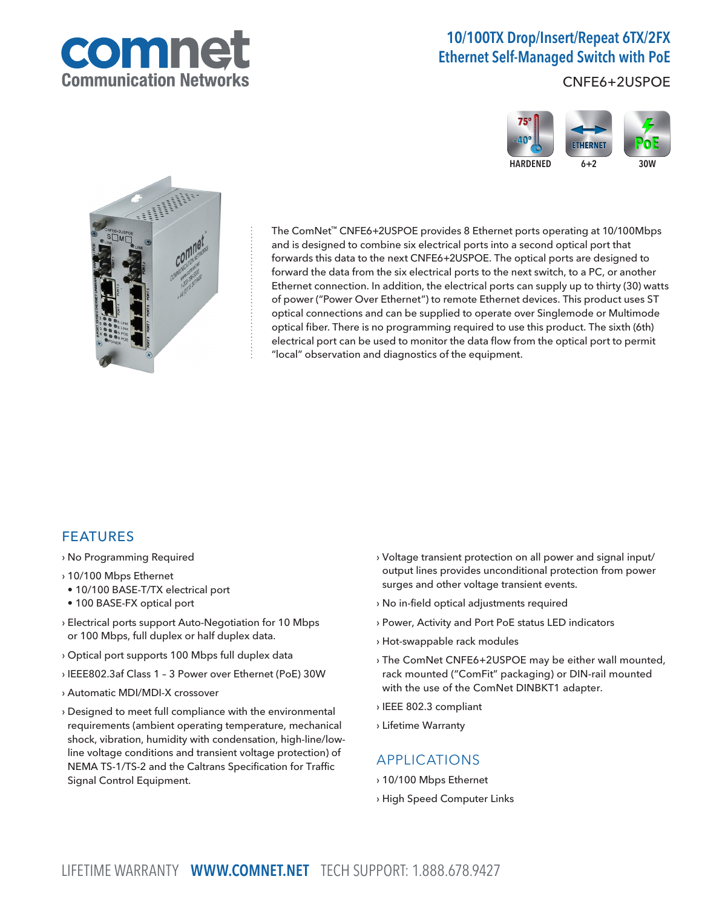

# 10/100TX Drop/Insert/Repeat 6TX/2FX Ethernet Self-Managed Switch with PoE

CNFE6+2USPOE





The ComNet™ CNFE6+2USPOE provides 8 Ethernet ports operating at 10/100Mbps and is designed to combine six electrical ports into a second optical port that forwards this data to the next CNFE6+2USPOE. The optical ports are designed to forward the data from the six electrical ports to the next switch, to a PC, or another Ethernet connection. In addition, the electrical ports can supply up to thirty (30) watts of power ("Power Over Ethernet") to remote Ethernet devices. This product uses ST optical connections and can be supplied to operate over Singlemode or Multimode optical fiber. There is no programming required to use this product. The sixth (6th) electrical port can be used to monitor the data flow from the optical port to permit "local" observation and diagnostics of the equipment.

### FEATURES

- › No Programming Required
- › 10/100 Mbps Ethernet
- 10/100 BASE-T/TX electrical port
- 100 BASE-FX optical port
- › Electrical ports support Auto-Negotiation for 10 Mbps or 100 Mbps, full duplex or half duplex data.
- › Optical port supports 100 Mbps full duplex data
- › IEEE802.3af Class 1 3 Power over Ethernet (PoE) 30W
- › Automatic MDI/MDI-X crossover
- › Designed to meet full compliance with the environmental requirements (ambient operating temperature, mechanical shock, vibration, humidity with condensation, high-line/lowline voltage conditions and transient voltage protection) of NEMA TS-1/TS-2 and the Caltrans Specification for Traffic Signal Control Equipment.
- › Voltage transient protection on all power and signal input/ output lines provides unconditional protection from power surges and other voltage transient events.
- › No in-field optical adjustments required
- › Power, Activity and Port PoE status LED indicators
- › Hot-swappable rack modules
- › The ComNet CNFE6+2USPOE may be either wall mounted, rack mounted ("ComFit" packaging) or DIN-rail mounted with the use of the ComNet DINBKT1 adapter.
- › IEEE 802.3 compliant
- › Lifetime Warranty

### APPLICATIONS

- › 10/100 Mbps Ethernet
- › High Speed Computer Links